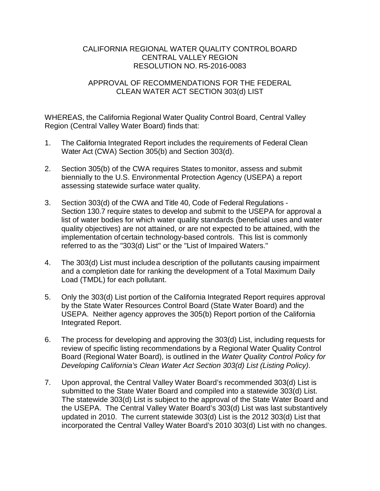## CALIFORNIA REGIONAL WATER QUALITY CONTROLBOARD CENTRAL VALLEY REGION RESOLUTION NO. R5-2016-0083

## APPROVAL OF RECOMMENDATIONS FOR THE FEDERAL CLEAN WATER ACT SECTION 303(d) LIST

WHEREAS, the California Regional Water Quality Control Board, Central Valley Region (Central Valley Water Board) finds that:

- 1. The California Integrated Report includes the requirements of Federal Clean Water Act (CWA) Section 305(b) and Section 303(d).
- 2. Section 305(b) of the CWA requires States to monitor, assess and submit biennially to the U.S. Environmental Protection Agency (USEPA) a report assessing statewide surface water quality.
- 3. Section 303(d) of the CWA and Title 40, Code of Federal Regulations Section 130.7 require states to develop and submit to the USEPA for approval a list of water bodies for which water quality standards (beneficial uses and water quality objectives) are not attained, or are not expected to be attained, with the implementation of certain technology-based controls. This list is commonly referred to as the "303(d) List'' or the "List of Impaired Waters."
- 4. The 303(d) List must includea description of the pollutants causing impairment and a completion date for ranking the development of a Total Maximum Daily Load (TMDL) for each pollutant.
- 5. Only the 303(d) List portion of the California Integrated Report requires approval by the State Water Resources Control Board (State Water Board) and the USEPA. Neither agency approves the 305(b) Report portion of the California Integrated Report.
- 6. The process for developing and approving the 303(d) List, including requests for review of specific listing recommendations by a Regional Water Quality Control Board (Regional Water Board), is outlined in the *Water Quality Control Policy for Developing California's Clean Water Act Section 303(d) List (Listing Policy)*.
- 7. Upon approval, the Central Valley Water Board's recommended 303(d) List is submitted to the State Water Board and compiled into a statewide 303(d) List. The statewide 303(d) List is subject to the approval of the State Water Board and the USEPA. The Central Valley Water Board's 303(d) List was last substantively updated in 2010. The current statewide 303(d) List is the 2012 303(d) List that incorporated the Central Valley Water Board's 2010 303(d) List with no changes.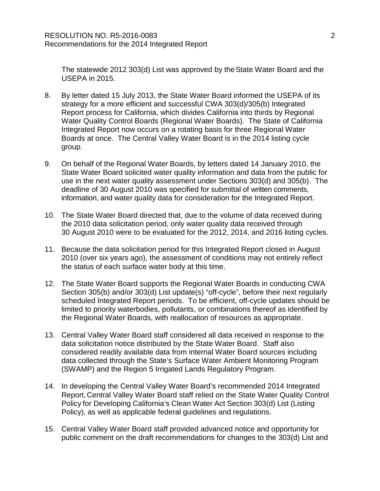The statewide 2012 303(d) List was approved by theState Water Board and the USEPA in 2015.

- 8. By letter dated 15 July 2013, the State Water Board informed the USEPA of its strategy for a more efficient and successful CWA 303(d)/305(b) Integrated Report process for California, which divides California into thirds by Regional Water Quality Control Boards (Regional Water Boards). The State of California Integrated Report now occurs on a rotating basis for three Regional Water Boards at once. The Central Valley Water Board is in the 2014 listing cycle group.
- 9. On behalf of the Regional Water Boards, by letters dated 14 January 2010, the State Water Board solicited water quality information and data from the public for use in the next water quality assessment under Sections 303(d) and 305(b). The deadline of 30 August 2010 was specified for submittal of written comments, information, and water quality data for consideration for the Integrated Report.
- 10. The State Water Board directed that, due to the volume of data received during the 2010 data solicitation period, only water quality data received through 30 August 2010 were to be evaluated for the 2012, 2014, and 2016 listing cycles.
- 11. Because the data solicitation period for this Integrated Report closed in August 2010 (over six years ago), the assessment of conditions may not entirely reflect the status of each surface water body at this time.
- 12. The State Water Board supports the Regional Water Boards in conducting CWA Section 305(b) and/or 303(d) List update(s) "off-cycle", before their next regularly scheduled Integrated Report periods. To be efficient, off-cycle updates should be limited to priority waterbodies, pollutants, or combinations thereof as identified by the Regional Water Boards, with reallocation of resources as appropriate.
- 13. Central Valley Water Board staff considered all data received in response to the data solicitation notice distributed by the State Water Board. Staff also considered readily available data from internal Water Board sources including data collected through the State's Surface Water Ambient Monitoring Program (SWAMP) and the Region 5 Irrigated Lands Regulatory Program.
- 14. In developing the Central Valley Water Board's recommended 2014 Integrated Report,Central Valley Water Board staff relied on the State Water Quality Control Policy for Developing California's Clean Water Act Section 303(d) List (Listing Policy), as well as applicable federal guidelines and regulations.
- 15. Central Valley Water Board staff provided advanced notice and opportunity for public comment on the draft recommendations for changes to the 303(d) List and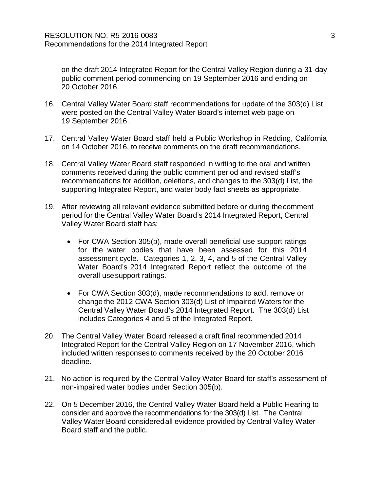on the draft 2014 Integrated Report for the Central Valley Region during a 31-day public comment period commencing on 19 September 2016 and ending on 20 October 2016.

- 16. Central Valley Water Board staff recommendations for update of the 303(d) List were posted on the Central Valley Water Board's internet web page on 19 September 2016.
- 17. Central Valley Water Board staff held a Public Workshop in Redding, California on 14 October 2016, to receive comments on the draft recommendations.
- 18. Central Valley Water Board staff responded in writing to the oral and written comments received during the public comment period and revised staff's recommendations for addition, deletions, and changes to the 303(d) List, the supporting Integrated Report, and water body fact sheets as appropriate.
- 19. After reviewing all relevant evidence submitted before or during thecomment period for the Central Valley Water Board's 2014 Integrated Report, Central Valley Water Board staff has:
	- For CWA Section 305(b), made overall beneficial use support ratings for the water bodies that have been assessed for this 2014 assessment cycle. Categories 1, 2, 3, 4, and 5 of the Central Valley Water Board's 2014 Integrated Report reflect the outcome of the overall usesupport ratings.
	- For CWA Section 303(d), made recommendations to add, remove or change the 2012 CWA Section 303(d) List of Impaired Waters for the Central Valley Water Board's 2014 Integrated Report. The 303(d) List includes Categories 4 and 5 of the Integrated Report.
- 20. The Central Valley Water Board released a draft final recommended 2014 Integrated Report for the Central Valley Region on 17 November 2016, which included written responses to comments received by the 20 October 2016 deadline.
- 21. No action is required by the Central Valley Water Board for staff's assessment of non-impaired water bodies under Section 305(b).
- 22. On 5 December 2016, the Central Valley Water Board held a Public Hearing to consider and approve the recommendations for the 303(d) List. The Central Valley Water Board consideredall evidence provided by Central Valley Water Board staff and the public.